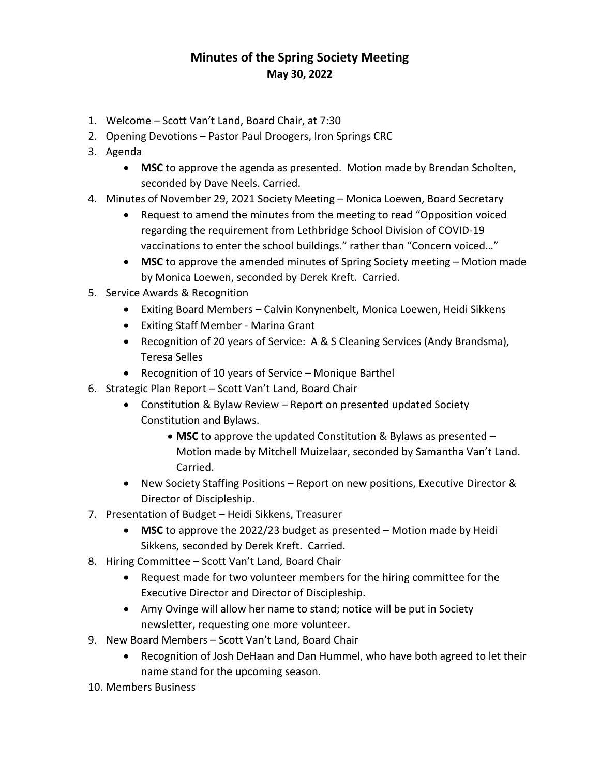## **Minutes of the Spring Society Meeting May 30, 2022**

- 1. Welcome Scott Van't Land, Board Chair, at 7:30
- 2. Opening Devotions Pastor Paul Droogers, Iron Springs CRC
- 3. Agenda
	- **MSC** to approve the agenda as presented. Motion made by Brendan Scholten, seconded by Dave Neels. Carried.
- 4. Minutes of November 29, 2021 Society Meeting Monica Loewen, Board Secretary
	- Request to amend the minutes from the meeting to read "Opposition voiced regarding the requirement from Lethbridge School Division of COVID-19 vaccinations to enter the school buildings." rather than "Concern voiced…"
	- **MSC** to approve the amended minutes of Spring Society meeting Motion made by Monica Loewen, seconded by Derek Kreft. Carried.
- 5. Service Awards & Recognition
	- Exiting Board Members Calvin Konynenbelt, Monica Loewen, Heidi Sikkens
	- Exiting Staff Member Marina Grant
	- Recognition of 20 years of Service: A & S Cleaning Services (Andy Brandsma), Teresa Selles
	- Recognition of 10 years of Service Monique Barthel
- 6. Strategic Plan Report Scott Van't Land, Board Chair
	- Constitution & Bylaw Review Report on presented updated Society Constitution and Bylaws.
		- **MSC** to approve the updated Constitution & Bylaws as presented Motion made by Mitchell Muizelaar, seconded by Samantha Van't Land. Carried.
	- New Society Staffing Positions Report on new positions, Executive Director & Director of Discipleship.
- 7. Presentation of Budget Heidi Sikkens, Treasurer
	- **MSC** to approve the 2022/23 budget as presented Motion made by Heidi Sikkens, seconded by Derek Kreft. Carried.
- 8. Hiring Committee Scott Van't Land, Board Chair
	- Request made for two volunteer members for the hiring committee for the Executive Director and Director of Discipleship.
	- Amy Ovinge will allow her name to stand; notice will be put in Society newsletter, requesting one more volunteer.
- 9. New Board Members Scott Van't Land, Board Chair
	- Recognition of Josh DeHaan and Dan Hummel, who have both agreed to let their name stand for the upcoming season.
- 10. Members Business